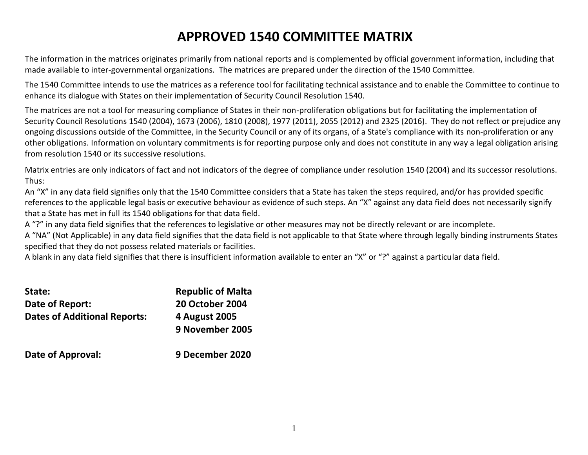# **APPROVED 1540 COMMITTEE MATRIX**

The information in the matrices originates primarily from national reports and is complemented by official government information, including that made available to inter-governmental organizations. The matrices are prepared under the direction of the 1540 Committee.

The 1540 Committee intends to use the matrices as a reference tool for facilitating technical assistance and to enable the Committee to continue to enhance its dialogue with States on their implementation of Security Council Resolution 1540.

The matrices are not a tool for measuring compliance of States in their non-proliferation obligations but for facilitating the implementation of Security Council Resolutions 1540 (2004), 1673 (2006), 1810 (2008), 1977 (2011), 2055 (2012) and 2325 (2016). They do not reflect or prejudice any ongoing discussions outside of the Committee, in the Security Council or any of its organs, of a State's compliance with its non-proliferation or any other obligations. Information on voluntary commitments is for reporting purpose only and does not constitute in any way a legal obligation arising from resolution 1540 or its successive resolutions.

Matrix entries are only indicators of fact and not indicators of the degree of compliance under resolution 1540 (2004) and its successor resolutions. Thus:

An "X" in any data field signifies only that the 1540 Committee considers that a State has taken the steps required, and/or has provided specific references to the applicable legal basis or executive behaviour as evidence of such steps. An "X" against any data field does not necessarily signify that a State has met in full its 1540 obligations for that data field.

A "?" in any data field signifies that the references to legislative or other measures may not be directly relevant or are incomplete.

A "NA" (Not Applicable) in any data field signifies that the data field is not applicable to that State where through legally binding instruments States specified that they do not possess related materials or facilities.

A blank in any data field signifies that there is insufficient information available to enter an "X" or "?" against a particular data field.

| State:                              | <b>Republic of Malta</b>         |
|-------------------------------------|----------------------------------|
| Date of Report:                     | <b>20 October 2004</b>           |
| <b>Dates of Additional Reports:</b> | 4 August 2005<br>9 November 2005 |
| Date of Approval:                   | 9 December 2020                  |

| Date of Approval: |  |
|-------------------|--|
|-------------------|--|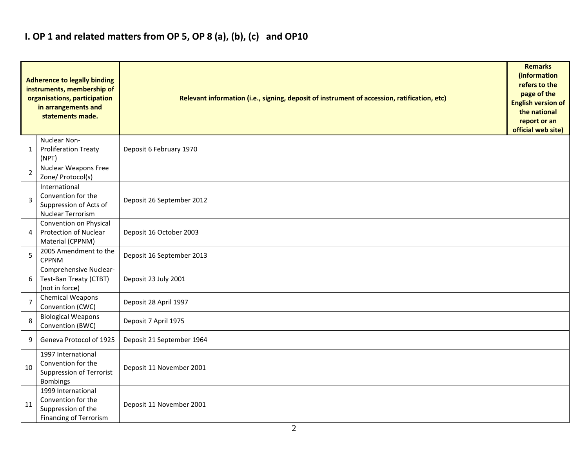## **I. OP 1 and related matters from OP 5, OP 8 (a), (b), (c) and OP10**

|                | <b>Adherence to legally binding</b><br>instruments, membership of<br>organisations, participation<br>in arrangements and<br>statements made. | Relevant information (i.e., signing, deposit of instrument of accession, ratification, etc) |  |  |  |  |  |  |  |  |  |
|----------------|----------------------------------------------------------------------------------------------------------------------------------------------|---------------------------------------------------------------------------------------------|--|--|--|--|--|--|--|--|--|
| 1              | Nuclear Non-<br><b>Proliferation Treaty</b><br>(NPT)                                                                                         | Deposit 6 February 1970                                                                     |  |  |  |  |  |  |  |  |  |
| $\overline{2}$ | Nuclear Weapons Free<br>Zone/ Protocol(s)                                                                                                    |                                                                                             |  |  |  |  |  |  |  |  |  |
| $\overline{3}$ | International<br>Convention for the<br>Suppression of Acts of<br>Nuclear Terrorism                                                           | Deposit 26 September 2012                                                                   |  |  |  |  |  |  |  |  |  |
| 4              | Convention on Physical<br><b>Protection of Nuclear</b><br>Material (CPPNM)                                                                   | Deposit 16 October 2003                                                                     |  |  |  |  |  |  |  |  |  |
| 5              | 2005 Amendment to the<br><b>CPPNM</b>                                                                                                        | Deposit 16 September 2013                                                                   |  |  |  |  |  |  |  |  |  |
| 6              | Comprehensive Nuclear-<br>Test-Ban Treaty (CTBT)<br>(not in force)                                                                           | Deposit 23 July 2001                                                                        |  |  |  |  |  |  |  |  |  |
| $\overline{7}$ | <b>Chemical Weapons</b><br>Convention (CWC)                                                                                                  | Deposit 28 April 1997                                                                       |  |  |  |  |  |  |  |  |  |
| 8              | <b>Biological Weapons</b><br>Convention (BWC)                                                                                                | Deposit 7 April 1975                                                                        |  |  |  |  |  |  |  |  |  |
| 9              | Geneva Protocol of 1925                                                                                                                      | Deposit 21 September 1964                                                                   |  |  |  |  |  |  |  |  |  |
| 10             | 1997 International<br>Convention for the<br><b>Suppression of Terrorist</b><br><b>Bombings</b>                                               | Deposit 11 November 2001                                                                    |  |  |  |  |  |  |  |  |  |
| 11             | 1999 International<br>Convention for the<br>Suppression of the<br><b>Financing of Terrorism</b>                                              | Deposit 11 November 2001                                                                    |  |  |  |  |  |  |  |  |  |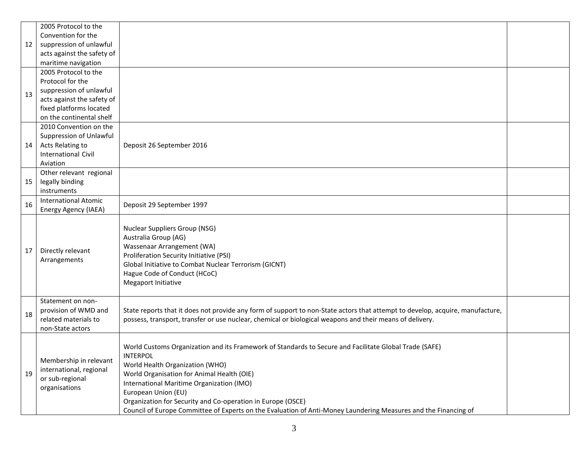|    | 2005 Protocol to the                                                                  |                                                                                                                                                                                                                                                                                                                                                                                                                                                                  |  |
|----|---------------------------------------------------------------------------------------|------------------------------------------------------------------------------------------------------------------------------------------------------------------------------------------------------------------------------------------------------------------------------------------------------------------------------------------------------------------------------------------------------------------------------------------------------------------|--|
|    | Convention for the                                                                    |                                                                                                                                                                                                                                                                                                                                                                                                                                                                  |  |
| 12 | suppression of unlawful                                                               |                                                                                                                                                                                                                                                                                                                                                                                                                                                                  |  |
|    | acts against the safety of                                                            |                                                                                                                                                                                                                                                                                                                                                                                                                                                                  |  |
|    | maritime navigation                                                                   |                                                                                                                                                                                                                                                                                                                                                                                                                                                                  |  |
|    | 2005 Protocol to the                                                                  |                                                                                                                                                                                                                                                                                                                                                                                                                                                                  |  |
|    | Protocol for the                                                                      |                                                                                                                                                                                                                                                                                                                                                                                                                                                                  |  |
| 13 | suppression of unlawful                                                               |                                                                                                                                                                                                                                                                                                                                                                                                                                                                  |  |
|    | acts against the safety of                                                            |                                                                                                                                                                                                                                                                                                                                                                                                                                                                  |  |
|    | fixed platforms located                                                               |                                                                                                                                                                                                                                                                                                                                                                                                                                                                  |  |
|    | on the continental shelf                                                              |                                                                                                                                                                                                                                                                                                                                                                                                                                                                  |  |
|    | 2010 Convention on the                                                                |                                                                                                                                                                                                                                                                                                                                                                                                                                                                  |  |
|    | Suppression of Unlawful                                                               |                                                                                                                                                                                                                                                                                                                                                                                                                                                                  |  |
| 14 | Acts Relating to                                                                      | Deposit 26 September 2016                                                                                                                                                                                                                                                                                                                                                                                                                                        |  |
|    | <b>International Civil</b>                                                            |                                                                                                                                                                                                                                                                                                                                                                                                                                                                  |  |
|    | Aviation                                                                              |                                                                                                                                                                                                                                                                                                                                                                                                                                                                  |  |
|    | Other relevant regional                                                               |                                                                                                                                                                                                                                                                                                                                                                                                                                                                  |  |
| 15 | legally binding                                                                       |                                                                                                                                                                                                                                                                                                                                                                                                                                                                  |  |
|    | instruments                                                                           |                                                                                                                                                                                                                                                                                                                                                                                                                                                                  |  |
| 16 | <b>International Atomic</b>                                                           | Deposit 29 September 1997                                                                                                                                                                                                                                                                                                                                                                                                                                        |  |
|    | Energy Agency (IAEA)                                                                  |                                                                                                                                                                                                                                                                                                                                                                                                                                                                  |  |
| 17 | Directly relevant<br>Arrangements                                                     | <b>Nuclear Suppliers Group (NSG)</b><br>Australia Group (AG)<br>Wassenaar Arrangement (WA)<br>Proliferation Security Initiative (PSI)<br>Global Initiative to Combat Nuclear Terrorism (GICNT)<br>Hague Code of Conduct (HCoC)<br>Megaport Initiative                                                                                                                                                                                                            |  |
| 18 | Statement on non-<br>provision of WMD and<br>related materials to<br>non-State actors | State reports that it does not provide any form of support to non-State actors that attempt to develop, acquire, manufacture,<br>possess, transport, transfer or use nuclear, chemical or biological weapons and their means of delivery.                                                                                                                                                                                                                        |  |
| 19 | Membership in relevant<br>international, regional<br>or sub-regional<br>organisations | World Customs Organization and its Framework of Standards to Secure and Facilitate Global Trade (SAFE)<br><b>INTERPOL</b><br>World Health Organization (WHO)<br>World Organisation for Animal Health (OIE)<br>International Maritime Organization (IMO)<br>European Union (EU)<br>Organization for Security and Co-operation in Europe (OSCE)<br>Council of Europe Committee of Experts on the Evaluation of Anti-Money Laundering Measures and the Financing of |  |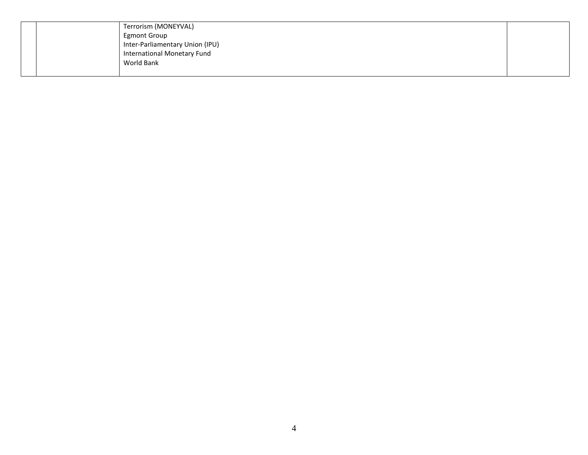|  | Terrorism (MONEYVAL)            |  |
|--|---------------------------------|--|
|  | <b>Egmont Group</b>             |  |
|  | Inter-Parliamentary Union (IPU) |  |
|  | International Monetary Fund     |  |
|  | World Bank                      |  |
|  |                                 |  |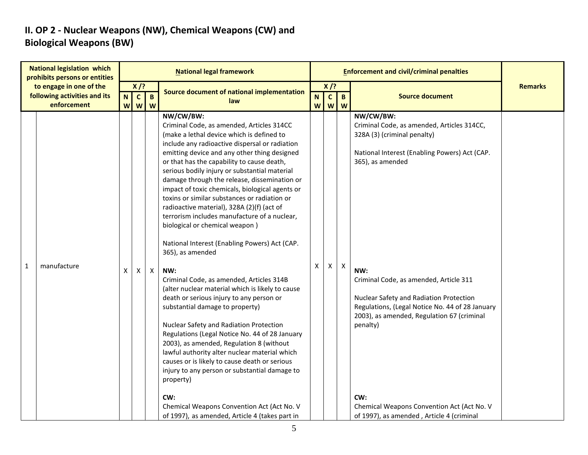### **II. OP 2 - Nuclear Weapons (NW), Chemical Weapons (CW) and Biological Weapons (BW)**

| <b>National legislation which</b><br>prohibits persons or entities |        |                   |                   | <b>National legal framework</b>                                                                                                                                                                                                                                                                                                                                                                                                                                                                                                                                                                                                                                                                                                                                                                                                                                                                                                                                                                                                                                                                                                                             |                              |                |                            | <b>Enforcement and civil/criminal penalties</b>                                                                                                                                                                                                                                                                                                                      |                |
|--------------------------------------------------------------------|--------|-------------------|-------------------|-------------------------------------------------------------------------------------------------------------------------------------------------------------------------------------------------------------------------------------------------------------------------------------------------------------------------------------------------------------------------------------------------------------------------------------------------------------------------------------------------------------------------------------------------------------------------------------------------------------------------------------------------------------------------------------------------------------------------------------------------------------------------------------------------------------------------------------------------------------------------------------------------------------------------------------------------------------------------------------------------------------------------------------------------------------------------------------------------------------------------------------------------------------|------------------------------|----------------|----------------------------|----------------------------------------------------------------------------------------------------------------------------------------------------------------------------------------------------------------------------------------------------------------------------------------------------------------------------------------------------------------------|----------------|
| to engage in one of the<br>following activities and its            |        | $X$ /?            |                   | Source document of national implementation                                                                                                                                                                                                                                                                                                                                                                                                                                                                                                                                                                                                                                                                                                                                                                                                                                                                                                                                                                                                                                                                                                                  |                              | $X$ /?         |                            |                                                                                                                                                                                                                                                                                                                                                                      | <b>Remarks</b> |
| enforcement                                                        | N<br>W | $\mathbf{c}$<br>W | $\mathbf{B}$<br>W | law                                                                                                                                                                                                                                                                                                                                                                                                                                                                                                                                                                                                                                                                                                                                                                                                                                                                                                                                                                                                                                                                                                                                                         | $\overline{\mathsf{N}}$<br>W | $\mathsf{c}$   | $\mathbf{B}$<br><b>W</b> W | <b>Source document</b>                                                                                                                                                                                                                                                                                                                                               |                |
| manufacture<br>1                                                   | X      | X.                | Χ                 | NW/CW/BW:<br>Criminal Code, as amended, Articles 314CC<br>(make a lethal device which is defined to<br>include any radioactive dispersal or radiation<br>emitting device and any other thing designed<br>or that has the capability to cause death,<br>serious bodily injury or substantial material<br>damage through the release, dissemination or<br>impact of toxic chemicals, biological agents or<br>toxins or similar substances or radiation or<br>radioactive material), 328A (2)(f) (act of<br>terrorism includes manufacture of a nuclear,<br>biological or chemical weapon)<br>National Interest (Enabling Powers) Act (CAP.<br>365), as amended<br>NW:<br>Criminal Code, as amended, Articles 314B<br>(alter nuclear material which is likely to cause<br>death or serious injury to any person or<br>substantial damage to property)<br>Nuclear Safety and Radiation Protection<br>Regulations (Legal Notice No. 44 of 28 January<br>2003), as amended, Regulation 8 (without<br>lawful authority alter nuclear material which<br>causes or is likely to cause death or serious<br>injury to any person or substantial damage to<br>property) | X                            | $\mathsf{X}^-$ | X                          | NW/CW/BW:<br>Criminal Code, as amended, Articles 314CC,<br>328A (3) (criminal penalty)<br>National Interest (Enabling Powers) Act (CAP.<br>365), as amended<br>NW:<br>Criminal Code, as amended, Article 311<br>Nuclear Safety and Radiation Protection<br>Regulations, (Legal Notice No. 44 of 28 January<br>2003), as amended, Regulation 67 (criminal<br>penalty) |                |
|                                                                    |        |                   |                   | CW:<br>Chemical Weapons Convention Act (Act No. V<br>of 1997), as amended, Article 4 (takes part in                                                                                                                                                                                                                                                                                                                                                                                                                                                                                                                                                                                                                                                                                                                                                                                                                                                                                                                                                                                                                                                         |                              |                |                            | CW:<br>Chemical Weapons Convention Act (Act No. V<br>of 1997), as amended, Article 4 (criminal                                                                                                                                                                                                                                                                       |                |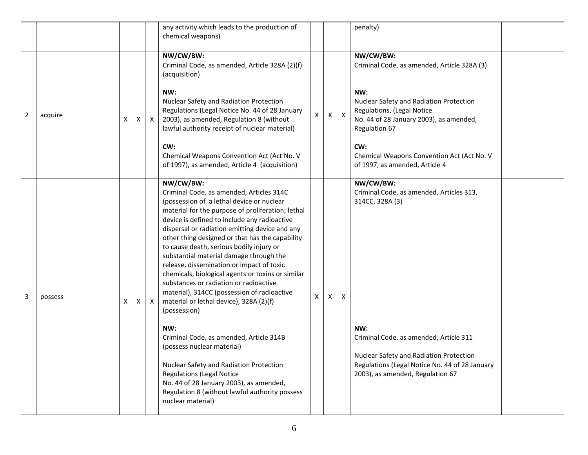|                |         |   |   |              | any activity which leads to the production of<br>chemical weapons)                                                                                                                                                                                                                                                                                                                                                                                                                                                                                                                                                                                                                                                                                                                                                                                                                                                                         |   |   |              | penalty)                                                                                                                                                                                                                                                   |
|----------------|---------|---|---|--------------|--------------------------------------------------------------------------------------------------------------------------------------------------------------------------------------------------------------------------------------------------------------------------------------------------------------------------------------------------------------------------------------------------------------------------------------------------------------------------------------------------------------------------------------------------------------------------------------------------------------------------------------------------------------------------------------------------------------------------------------------------------------------------------------------------------------------------------------------------------------------------------------------------------------------------------------------|---|---|--------------|------------------------------------------------------------------------------------------------------------------------------------------------------------------------------------------------------------------------------------------------------------|
|                |         |   |   |              | NW/CW/BW:<br>Criminal Code, as amended, Article 328A (2)(f)<br>(acquisition)                                                                                                                                                                                                                                                                                                                                                                                                                                                                                                                                                                                                                                                                                                                                                                                                                                                               |   |   |              | NW/CW/BW:<br>Criminal Code, as amended, Article 328A (3)                                                                                                                                                                                                   |
| $\overline{2}$ | acquire | X | X | $\mathsf{X}$ | NW:<br>Nuclear Safety and Radiation Protection<br>Regulations (Legal Notice No. 44 of 28 January<br>2003), as amended, Regulation 8 (without<br>lawful authority receipt of nuclear material)                                                                                                                                                                                                                                                                                                                                                                                                                                                                                                                                                                                                                                                                                                                                              | X | X | $\mathsf{X}$ | NW:<br>Nuclear Safety and Radiation Protection<br>Regulations, (Legal Notice<br>No. 44 of 28 January 2003), as amended,<br>Regulation 67                                                                                                                   |
|                |         |   |   |              | CW:<br>Chemical Weapons Convention Act (Act No. V<br>of 1997), as amended, Article 4 (acquisition)                                                                                                                                                                                                                                                                                                                                                                                                                                                                                                                                                                                                                                                                                                                                                                                                                                         |   |   |              | CW:<br>Chemical Weapons Convention Act (Act No. V<br>of 1997, as amended, Article 4                                                                                                                                                                        |
| 3              | possess | X | X | $\mathsf{X}$ | NW/CW/BW:<br>Criminal Code, as amended, Articles 314C<br>(possession of a lethal device or nuclear<br>material for the purpose of proliferation; lethal<br>device is defined to include any radioactive<br>dispersal or radiation emitting device and any<br>other thing designed or that has the capability<br>to cause death, serious bodily injury or<br>substantial material damage through the<br>release, dissemination or impact of toxic<br>chemicals, biological agents or toxins or similar<br>substances or radiation or radioactive<br>material), 314CC (possession of radioactive<br>material or lethal device), 328A (2)(f)<br>(possession)<br>NW:<br>Criminal Code, as amended, Article 314B<br>(possess nuclear material)<br>Nuclear Safety and Radiation Protection<br><b>Regulations (Legal Notice</b><br>No. 44 of 28 January 2003), as amended,<br>Regulation 8 (without lawful authority possess<br>nuclear material) | X | X | X            | NW/CW/BW:<br>Criminal Code, as amended, Articles 313,<br>314CC, 328A (3)<br>NW:<br>Criminal Code, as amended, Article 311<br>Nuclear Safety and Radiation Protection<br>Regulations (Legal Notice No. 44 of 28 January<br>2003), as amended, Regulation 67 |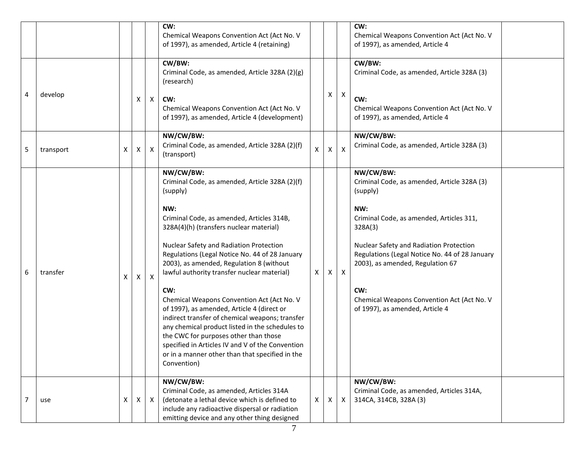|   |           |   |   |              | CW:<br>Chemical Weapons Convention Act (Act No. V<br>of 1997), as amended, Article 4 (retaining)                                                                                                                                                                                                                                                                     |              |              |                           | CW:<br>Chemical Weapons Convention Act (Act No. V<br>of 1997), as amended, Article 4                                          |
|---|-----------|---|---|--------------|----------------------------------------------------------------------------------------------------------------------------------------------------------------------------------------------------------------------------------------------------------------------------------------------------------------------------------------------------------------------|--------------|--------------|---------------------------|-------------------------------------------------------------------------------------------------------------------------------|
|   |           |   |   |              | CW/BW:<br>Criminal Code, as amended, Article 328A (2)(g)<br>(research)                                                                                                                                                                                                                                                                                               |              |              |                           | CW/BW:<br>Criminal Code, as amended, Article 328A (3)                                                                         |
| 4 | develop   |   | Χ | $\mathsf{X}$ | CW:<br>Chemical Weapons Convention Act (Act No. V<br>of 1997), as amended, Article 4 (development)                                                                                                                                                                                                                                                                   |              | X            | $\boldsymbol{\mathsf{X}}$ | CW:<br>Chemical Weapons Convention Act (Act No. V<br>of 1997), as amended, Article 4                                          |
| 5 | transport | Χ | X | $\mathsf{X}$ | NW/CW/BW:<br>Criminal Code, as amended, Article 328A (2)(f)<br>(transport)                                                                                                                                                                                                                                                                                           | $\mathsf{x}$ | $\mathsf{x}$ | $\boldsymbol{\mathsf{x}}$ | NW/CW/BW:<br>Criminal Code, as amended, Article 328A (3)                                                                      |
|   |           |   |   |              | NW/CW/BW:<br>Criminal Code, as amended, Article 328A (2)(f)<br>(supply)<br>NW:                                                                                                                                                                                                                                                                                       |              |              |                           | NW/CW/BW:<br>Criminal Code, as amended, Article 328A (3)<br>(supply)<br>NW:                                                   |
|   |           |   |   |              | Criminal Code, as amended, Articles 314B,<br>328A(4)(h) (transfers nuclear material)                                                                                                                                                                                                                                                                                 |              |              |                           | Criminal Code, as amended, Articles 311,<br>328A(3)                                                                           |
| 6 | transfer  | X | Χ | $\mathsf{X}$ | Nuclear Safety and Radiation Protection<br>Regulations (Legal Notice No. 44 of 28 January<br>2003), as amended, Regulation 8 (without<br>lawful authority transfer nuclear material)                                                                                                                                                                                 | X            | X            | $\mathsf{X}$              | Nuclear Safety and Radiation Protection<br>Regulations (Legal Notice No. 44 of 28 January<br>2003), as amended, Regulation 67 |
|   |           |   |   |              | CW:<br>Chemical Weapons Convention Act (Act No. V<br>of 1997), as amended, Article 4 (direct or<br>indirect transfer of chemical weapons; transfer<br>any chemical product listed in the schedules to<br>the CWC for purposes other than those<br>specified in Articles IV and V of the Convention<br>or in a manner other than that specified in the<br>Convention) |              |              |                           | CW:<br>Chemical Weapons Convention Act (Act No. V<br>of 1997), as amended, Article 4                                          |
|   | use       | X | X | $\mathsf{X}$ | NW/CW/BW:<br>Criminal Code, as amended, Articles 314A<br>(detonate a lethal device which is defined to<br>include any radioactive dispersal or radiation<br>emitting device and any other thing designed                                                                                                                                                             | $\mathsf{x}$ | X            | $\mathsf{X}$              | NW/CW/BW:<br>Criminal Code, as amended, Articles 314A,<br>314CA, 314CB, 328A (3)                                              |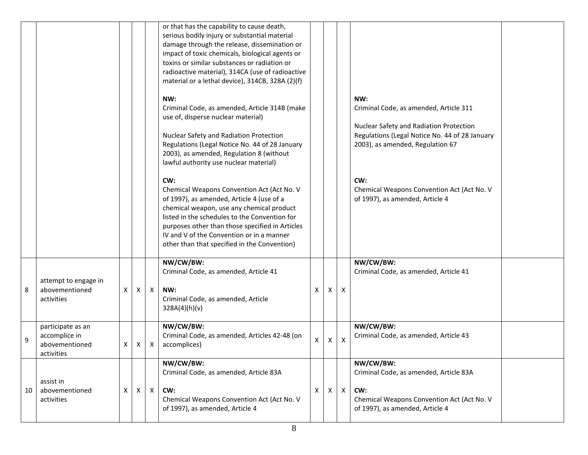|    |                                                                    |              |              |              | or that has the capability to cause death,<br>serious bodily injury or substantial material<br>damage through the release, dissemination or<br>impact of toxic chemicals, biological agents or<br>toxins or similar substances or radiation or<br>radioactive material), 314CA (use of radioactive<br>material or a lethal device), 314CB, 328A (2)(f) |   |    |                |                                                                                                                                                                                |
|----|--------------------------------------------------------------------|--------------|--------------|--------------|--------------------------------------------------------------------------------------------------------------------------------------------------------------------------------------------------------------------------------------------------------------------------------------------------------------------------------------------------------|---|----|----------------|--------------------------------------------------------------------------------------------------------------------------------------------------------------------------------|
|    |                                                                    |              |              |              | NW:<br>Criminal Code, as amended, Article 314B (make<br>use of, disperse nuclear material)<br>Nuclear Safety and Radiation Protection<br>Regulations (Legal Notice No. 44 of 28 January<br>2003), as amended, Regulation 8 (without<br>lawful authority use nuclear material)                                                                          |   |    |                | NW:<br>Criminal Code, as amended, Article 311<br>Nuclear Safety and Radiation Protection<br>Regulations (Legal Notice No. 44 of 28 January<br>2003), as amended, Regulation 67 |
|    |                                                                    |              |              |              | CW:<br>Chemical Weapons Convention Act (Act No. V<br>of 1997), as amended, Article 4 (use of a<br>chemical weapon, use any chemical product<br>listed in the schedules to the Convention for<br>purposes other than those specified in Articles<br>IV and V of the Convention or in a manner<br>other than that specified in the Convention)           |   |    |                | CW:<br>Chemical Weapons Convention Act (Act No. V<br>of 1997), as amended, Article 4                                                                                           |
| 8  | attempt to engage in<br>abovementioned<br>activities               | $\mathsf{X}$ | X            | $\mathsf{X}$ | NW/CW/BW:<br>Criminal Code, as amended, Article 41<br>NW:<br>Criminal Code, as amended, Article<br>328A(4)(h)(v)                                                                                                                                                                                                                                       | X | X. | X              | NW/CW/BW:<br>Criminal Code, as amended, Article 41                                                                                                                             |
| 9  | participate as an<br>accomplice in<br>abovementioned<br>activities | $\mathsf{X}$ | $\mathsf{X}$ | Χ            | NW/CW/BW:<br>Criminal Code, as amended, Articles 42-48 (on<br>accomplices)                                                                                                                                                                                                                                                                             | X | Χ  | $\mathsf{X}$   | NW/CW/BW:<br>Criminal Code, as amended, Article 43                                                                                                                             |
| 10 | assist in<br>abovementioned<br>activities                          | X            | $\mathsf{X}$ | $\mathsf{X}$ | NW/CW/BW:<br>Criminal Code, as amended, Article 83A<br>CW:<br>Chemical Weapons Convention Act (Act No. V<br>of 1997), as amended, Article 4                                                                                                                                                                                                            | Χ | X  | $\pmb{\times}$ | NW/CW/BW:<br>Criminal Code, as amended, Article 83A<br>CW:<br>Chemical Weapons Convention Act (Act No. V<br>of 1997), as amended, Article 4                                    |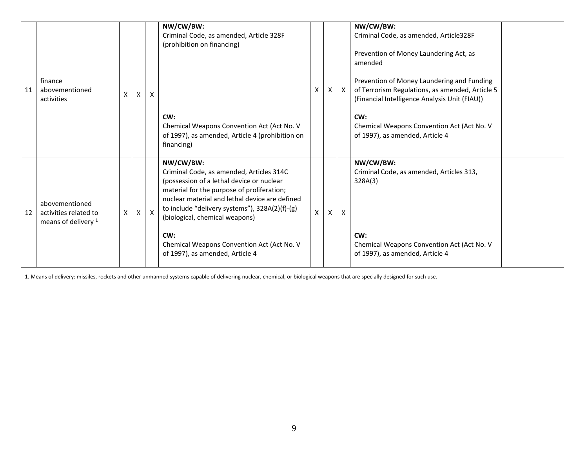| 11 | finance<br>abovementioned<br>activities                                   | X        | X            | X            | NW/CW/BW:<br>Criminal Code, as amended, Article 328F<br>(prohibition on financing)<br>CW:<br>Chemical Weapons Convention Act (Act No. V<br>of 1997), as amended, Article 4 (prohibition on<br>financing)                                                                                                                                                                       | $\times$     | X | $\mathsf{X}$ | NW/CW/BW:<br>Criminal Code, as amended, Article328F<br>Prevention of Money Laundering Act, as<br>amended<br>Prevention of Money Laundering and Funding<br>of Terrorism Regulations, as amended, Article 5<br>(Financial Intelligence Analysis Unit (FIAU))<br>CW:<br>Chemical Weapons Convention Act (Act No. V<br>of 1997), as amended, Article 4 |
|----|---------------------------------------------------------------------------|----------|--------------|--------------|--------------------------------------------------------------------------------------------------------------------------------------------------------------------------------------------------------------------------------------------------------------------------------------------------------------------------------------------------------------------------------|--------------|---|--------------|----------------------------------------------------------------------------------------------------------------------------------------------------------------------------------------------------------------------------------------------------------------------------------------------------------------------------------------------------|
| 12 | abovementioned<br>activities related to<br>means of delivery <sup>1</sup> | $\times$ | $\mathsf{X}$ | $\mathsf{X}$ | NW/CW/BW:<br>Criminal Code, as amended, Articles 314C<br>(possession of a lethal device or nuclear<br>material for the purpose of proliferation;<br>nuclear material and lethal device are defined<br>to include "delivery systems"), 328A(2)(f)-(g)<br>(biological, chemical weapons)<br>CW:<br>Chemical Weapons Convention Act (Act No. V<br>of 1997), as amended, Article 4 | $\mathsf{X}$ | X | X            | NW/CW/BW:<br>Criminal Code, as amended, Articles 313,<br>328A(3)<br>CW:<br>Chemical Weapons Convention Act (Act No. V<br>of 1997), as amended, Article 4                                                                                                                                                                                           |

1. Means of delivery: missiles, rockets and other unmanned systems capable of delivering nuclear, chemical, or biological weapons that are specially designed for such use.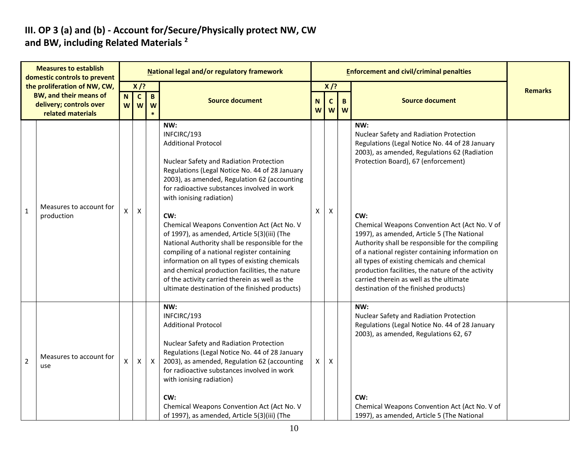#### **III. OP 3 (a) and (b) - Account for/Secure/Physically protect NW, CW and BW, including Related Materials <sup>2</sup>**

| <b>Measures to establish</b><br>domestic controls to prevent                                                  |                                       | National legal and/or regulatory framework |                             |                   |                                                                                                                                                                                                                                                                                                                                                                                                                                                                                                                                                                                                                                                                                         |   |                                      |  | <b>Enforcement and civil/criminal penalties</b>                                                                                                                                                                                                                                                                                                                                                                                                                                                                                                                                                |                |
|---------------------------------------------------------------------------------------------------------------|---------------------------------------|--------------------------------------------|-----------------------------|-------------------|-----------------------------------------------------------------------------------------------------------------------------------------------------------------------------------------------------------------------------------------------------------------------------------------------------------------------------------------------------------------------------------------------------------------------------------------------------------------------------------------------------------------------------------------------------------------------------------------------------------------------------------------------------------------------------------------|---|--------------------------------------|--|------------------------------------------------------------------------------------------------------------------------------------------------------------------------------------------------------------------------------------------------------------------------------------------------------------------------------------------------------------------------------------------------------------------------------------------------------------------------------------------------------------------------------------------------------------------------------------------------|----------------|
| the proliferation of NW, CW,<br><b>BW, and their means of</b><br>delivery; controls over<br>related materials |                                       | $\mathbf N$<br><b>W</b>                    | $X$ /?<br>$\mathbf{C}$<br>W | $\mathbf{B}$<br>W | <b>Source document</b>                                                                                                                                                                                                                                                                                                                                                                                                                                                                                                                                                                                                                                                                  |   | $X$ /?<br>N<br>B<br>C<br>W<br>W<br>W |  | <b>Source document</b>                                                                                                                                                                                                                                                                                                                                                                                                                                                                                                                                                                         | <b>Remarks</b> |
| $\mathbf{1}$                                                                                                  | Measures to account for<br>production | X                                          | $\pmb{\mathsf{X}}$          |                   | NW:<br>INFCIRC/193<br><b>Additional Protocol</b><br>Nuclear Safety and Radiation Protection<br>Regulations (Legal Notice No. 44 of 28 January<br>2003), as amended, Regulation 62 (accounting<br>for radioactive substances involved in work<br>with ionising radiation)<br>CW:<br>Chemical Weapons Convention Act (Act No. V<br>of 1997), as amended, Article 5(3)(iii) (The<br>National Authority shall be responsible for the<br>compiling of a national register containing<br>information on all types of existing chemicals<br>and chemical production facilities, the nature<br>of the activity carried therein as well as the<br>ultimate destination of the finished products) | X | X                                    |  | NW:<br>Nuclear Safety and Radiation Protection<br>Regulations (Legal Notice No. 44 of 28 January<br>2003), as amended, Regulations 62 (Radiation<br>Protection Board), 67 (enforcement)<br>CW:<br>Chemical Weapons Convention Act (Act No. V of<br>1997), as amended, Article 5 (The National<br>Authority shall be responsible for the compiling<br>of a national register containing information on<br>all types of existing chemicals and chemical<br>production facilities, the nature of the activity<br>carried therein as well as the ultimate<br>destination of the finished products) |                |
| $\overline{2}$                                                                                                | Measures to account for<br>use        | X                                          | Χ                           | $\mathsf{X}$      | NW:<br>INFCIRC/193<br><b>Additional Protocol</b><br>Nuclear Safety and Radiation Protection<br>Regulations (Legal Notice No. 44 of 28 January<br>2003), as amended, Regulation 62 (accounting<br>for radioactive substances involved in work<br>with ionising radiation)<br>CW:<br>Chemical Weapons Convention Act (Act No. V<br>of 1997), as amended, Article 5(3)(iii) (The                                                                                                                                                                                                                                                                                                           | X | X                                    |  | NW:<br>Nuclear Safety and Radiation Protection<br>Regulations (Legal Notice No. 44 of 28 January<br>2003), as amended, Regulations 62, 67<br>CW:<br>Chemical Weapons Convention Act (Act No. V of<br>1997), as amended, Article 5 (The National                                                                                                                                                                                                                                                                                                                                                |                |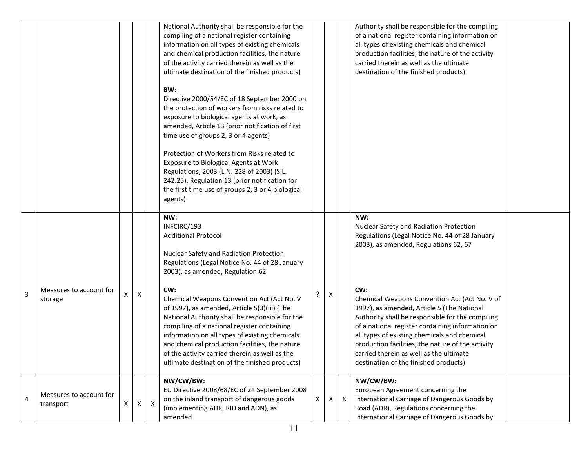|   |                                      |   |                    |                           | National Authority shall be responsible for the<br>compiling of a national register containing<br>information on all types of existing chemicals<br>and chemical production facilities, the nature<br>of the activity carried therein as well as the<br>ultimate destination of the finished products)<br>BW:<br>Directive 2000/54/EC of 18 September 2000 on<br>the protection of workers from risks related to<br>exposure to biological agents at work, as<br>amended, Article 13 (prior notification of first<br>time use of groups 2, 3 or 4 agents)<br>Protection of Workers from Risks related to<br>Exposure to Biological Agents at Work<br>Regulations, 2003 (L.N. 228 of 2003) (S.L.<br>242.25), Regulation 13 (prior notification for<br>the first time use of groups 2, 3 or 4 biological<br>agents) |   |   |                  | Authority shall be responsible for the compiling<br>of a national register containing information on<br>all types of existing chemicals and chemical<br>production facilities, the nature of the activity<br>carried therein as well as the ultimate<br>destination of the finished products)                                                                                                                                                                                                                                                    |  |
|---|--------------------------------------|---|--------------------|---------------------------|-------------------------------------------------------------------------------------------------------------------------------------------------------------------------------------------------------------------------------------------------------------------------------------------------------------------------------------------------------------------------------------------------------------------------------------------------------------------------------------------------------------------------------------------------------------------------------------------------------------------------------------------------------------------------------------------------------------------------------------------------------------------------------------------------------------------|---|---|------------------|--------------------------------------------------------------------------------------------------------------------------------------------------------------------------------------------------------------------------------------------------------------------------------------------------------------------------------------------------------------------------------------------------------------------------------------------------------------------------------------------------------------------------------------------------|--|
| 3 | Measures to account for<br>storage   | X | $\pmb{\mathsf{X}}$ |                           | NW:<br>INFCIRC/193<br><b>Additional Protocol</b><br>Nuclear Safety and Radiation Protection<br>Regulations (Legal Notice No. 44 of 28 January<br>2003), as amended, Regulation 62<br>CW:<br>Chemical Weapons Convention Act (Act No. V<br>of 1997), as amended, Article 5(3)(iii) (The<br>National Authority shall be responsible for the<br>compiling of a national register containing<br>information on all types of existing chemicals<br>and chemical production facilities, the nature<br>of the activity carried therein as well as the<br>ultimate destination of the finished products)                                                                                                                                                                                                                  | ? | Χ |                  | NW:<br>Nuclear Safety and Radiation Protection<br>Regulations (Legal Notice No. 44 of 28 January<br>2003), as amended, Regulations 62, 67<br>CW:<br>Chemical Weapons Convention Act (Act No. V of<br>1997), as amended, Article 5 (The National<br>Authority shall be responsible for the compiling<br>of a national register containing information on<br>all types of existing chemicals and chemical<br>production facilities, the nature of the activity<br>carried therein as well as the ultimate<br>destination of the finished products) |  |
| 4 | Measures to account for<br>transport | X | X                  | $\boldsymbol{\mathsf{X}}$ | NW/CW/BW:<br>EU Directive 2008/68/EC of 24 September 2008<br>on the inland transport of dangerous goods<br>(implementing ADR, RID and ADN), as<br>amended                                                                                                                                                                                                                                                                                                                                                                                                                                                                                                                                                                                                                                                         | X | X | $\boldsymbol{X}$ | NW/CW/BW:<br>European Agreement concerning the<br>International Carriage of Dangerous Goods by<br>Road (ADR), Regulations concerning the<br>International Carriage of Dangerous Goods by                                                                                                                                                                                                                                                                                                                                                         |  |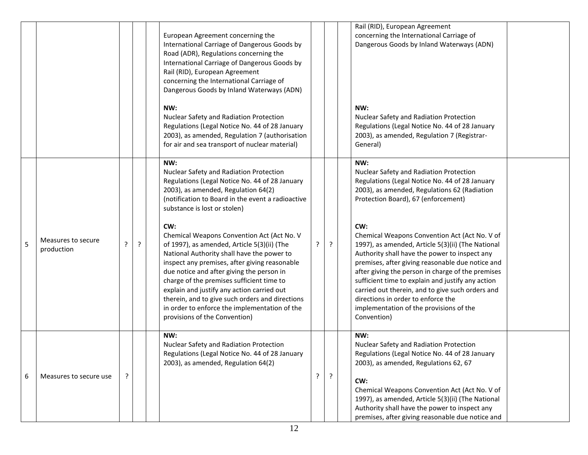|   |                                  |   |         | European Agreement concerning the<br>International Carriage of Dangerous Goods by<br>Road (ADR), Regulations concerning the<br>International Carriage of Dangerous Goods by<br>Rail (RID), European Agreement<br>concerning the International Carriage of<br>Dangerous Goods by Inland Waterways (ADN)                                                                                                                                                                       |   |         | Rail (RID), European Agreement<br>concerning the International Carriage of<br>Dangerous Goods by Inland Waterways (ADN)                                                                                                                                                                                                                                                                                                                                                      |
|---|----------------------------------|---|---------|------------------------------------------------------------------------------------------------------------------------------------------------------------------------------------------------------------------------------------------------------------------------------------------------------------------------------------------------------------------------------------------------------------------------------------------------------------------------------|---|---------|------------------------------------------------------------------------------------------------------------------------------------------------------------------------------------------------------------------------------------------------------------------------------------------------------------------------------------------------------------------------------------------------------------------------------------------------------------------------------|
|   |                                  |   |         | NW:<br>Nuclear Safety and Radiation Protection<br>Regulations (Legal Notice No. 44 of 28 January<br>2003), as amended, Regulation 7 (authorisation<br>for air and sea transport of nuclear material)                                                                                                                                                                                                                                                                         |   |         | NW:<br>Nuclear Safety and Radiation Protection<br>Regulations (Legal Notice No. 44 of 28 January<br>2003), as amended, Regulation 7 (Registrar-<br>General)                                                                                                                                                                                                                                                                                                                  |
|   |                                  |   |         | NW:<br>Nuclear Safety and Radiation Protection<br>Regulations (Legal Notice No. 44 of 28 January<br>2003), as amended, Regulation 64(2)<br>(notification to Board in the event a radioactive<br>substance is lost or stolen)                                                                                                                                                                                                                                                 |   |         | NW:<br>Nuclear Safety and Radiation Protection<br>Regulations (Legal Notice No. 44 of 28 January<br>2003), as amended, Regulations 62 (Radiation<br>Protection Board), 67 (enforcement)                                                                                                                                                                                                                                                                                      |
| 5 | Measures to secure<br>production | ? | $\cdot$ | CW:<br>Chemical Weapons Convention Act (Act No. V<br>of 1997), as amended, Article 5(3)(ii) (The<br>National Authority shall have the power to<br>inspect any premises, after giving reasonable<br>due notice and after giving the person in<br>charge of the premises sufficient time to<br>explain and justify any action carried out<br>therein, and to give such orders and directions<br>in order to enforce the implementation of the<br>provisions of the Convention) | ? | $\cdot$ | CW:<br>Chemical Weapons Convention Act (Act No. V of<br>1997), as amended, Article 5(3)(ii) (The National<br>Authority shall have the power to inspect any<br>premises, after giving reasonable due notice and<br>after giving the person in charge of the premises<br>sufficient time to explain and justify any action<br>carried out therein, and to give such orders and<br>directions in order to enforce the<br>implementation of the provisions of the<br>Convention) |
| 6 | Measures to secure use           | ? |         | NW:<br>Nuclear Safety and Radiation Protection<br>Regulations (Legal Notice No. 44 of 28 January<br>2003), as amended, Regulation 64(2)                                                                                                                                                                                                                                                                                                                                      | ? | ?       | NW:<br>Nuclear Safety and Radiation Protection<br>Regulations (Legal Notice No. 44 of 28 January<br>2003), as amended, Regulations 62, 67<br>CW:<br>Chemical Weapons Convention Act (Act No. V of<br>1997), as amended, Article 5(3)(ii) (The National<br>Authority shall have the power to inspect any<br>premises, after giving reasonable due notice and                                                                                                                  |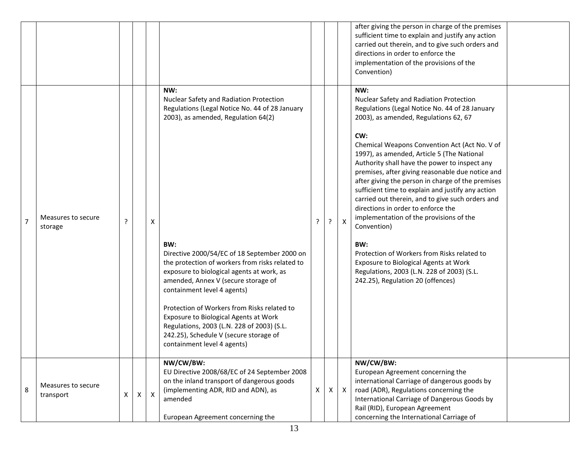|                |                                 |   |   |                           |                                                                                                                                                                                                                                                                                                                                                                                                                                                                                                                                                                                     |   |   |                           | after giving the person in charge of the premises<br>sufficient time to explain and justify any action<br>carried out therein, and to give such orders and<br>directions in order to enforce the<br>implementation of the provisions of the<br>Convention)                                                                                                                                                                                                                                                                                                                                                                                                                                                                                                                                           |  |
|----------------|---------------------------------|---|---|---------------------------|-------------------------------------------------------------------------------------------------------------------------------------------------------------------------------------------------------------------------------------------------------------------------------------------------------------------------------------------------------------------------------------------------------------------------------------------------------------------------------------------------------------------------------------------------------------------------------------|---|---|---------------------------|------------------------------------------------------------------------------------------------------------------------------------------------------------------------------------------------------------------------------------------------------------------------------------------------------------------------------------------------------------------------------------------------------------------------------------------------------------------------------------------------------------------------------------------------------------------------------------------------------------------------------------------------------------------------------------------------------------------------------------------------------------------------------------------------------|--|
| $\overline{7}$ | Measures to secure<br>storage   | ? |   | X                         | NW:<br>Nuclear Safety and Radiation Protection<br>Regulations (Legal Notice No. 44 of 28 January<br>2003), as amended, Regulation 64(2)<br>BW:<br>Directive 2000/54/EC of 18 September 2000 on<br>the protection of workers from risks related to<br>exposure to biological agents at work, as<br>amended, Annex V (secure storage of<br>containment level 4 agents)<br>Protection of Workers from Risks related to<br>Exposure to Biological Agents at Work<br>Regulations, 2003 (L.N. 228 of 2003) (S.L.<br>242.25), Schedule V (secure storage of<br>containment level 4 agents) | ? | ? | $\boldsymbol{\mathsf{X}}$ | NW:<br>Nuclear Safety and Radiation Protection<br>Regulations (Legal Notice No. 44 of 28 January<br>2003), as amended, Regulations 62, 67<br>CW:<br>Chemical Weapons Convention Act (Act No. V of<br>1997), as amended, Article 5 (The National<br>Authority shall have the power to inspect any<br>premises, after giving reasonable due notice and<br>after giving the person in charge of the premises<br>sufficient time to explain and justify any action<br>carried out therein, and to give such orders and<br>directions in order to enforce the<br>implementation of the provisions of the<br>Convention)<br>BW:<br>Protection of Workers from Risks related to<br>Exposure to Biological Agents at Work<br>Regulations, 2003 (L.N. 228 of 2003) (S.L.<br>242.25), Regulation 20 (offences) |  |
| 8              | Measures to secure<br>transport | X | х | $\boldsymbol{\mathsf{x}}$ | NW/CW/BW:<br>EU Directive 2008/68/EC of 24 September 2008<br>on the inland transport of dangerous goods<br>(implementing ADR, RID and ADN), as<br>amended<br>European Agreement concerning the                                                                                                                                                                                                                                                                                                                                                                                      | х | X | $\mathsf{X}$              | NW/CW/BW:<br>European Agreement concerning the<br>international Carriage of dangerous goods by<br>road (ADR), Regulations concerning the<br>International Carriage of Dangerous Goods by<br>Rail (RID), European Agreement<br>concerning the International Carriage of                                                                                                                                                                                                                                                                                                                                                                                                                                                                                                                               |  |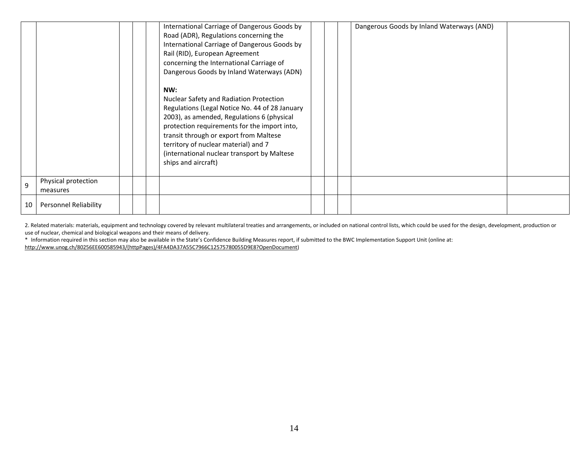|    |                                 | International Carriage of Dangerous Goods by<br>Road (ADR), Regulations concerning the<br>International Carriage of Dangerous Goods by<br>Rail (RID), European Agreement<br>concerning the International Carriage of<br>Dangerous Goods by Inland Waterways (ADN)<br>NW:<br>Nuclear Safety and Radiation Protection<br>Regulations (Legal Notice No. 44 of 28 January<br>2003), as amended, Regulations 6 (physical<br>protection requirements for the import into, |  | Dangerous Goods by Inland Waterways (AND) |  |
|----|---------------------------------|---------------------------------------------------------------------------------------------------------------------------------------------------------------------------------------------------------------------------------------------------------------------------------------------------------------------------------------------------------------------------------------------------------------------------------------------------------------------|--|-------------------------------------------|--|
|    |                                 | transit through or export from Maltese<br>territory of nuclear material) and 7<br>(international nuclear transport by Maltese<br>ships and aircraft)                                                                                                                                                                                                                                                                                                                |  |                                           |  |
| q  | Physical protection<br>measures |                                                                                                                                                                                                                                                                                                                                                                                                                                                                     |  |                                           |  |
| 10 | <b>Personnel Reliability</b>    |                                                                                                                                                                                                                                                                                                                                                                                                                                                                     |  |                                           |  |

2. Related materials: materials, equipment and technology covered by relevant multilateral treaties and arrangements, or included on national control lists, which could be used for the design, development, production or use of nuclear, chemical and biological weapons and their means of delivery.

\* Information required in this section may also be available in the State's Confidence Building Measures report, if submitted to the BWC Implementation Support Unit (online at: [http://www.unog.ch/80256EE600585943/\(httpPages\)/4FA4DA37A55C7966C12575780055D9E8?OpenDocument\)](http://www.unog.ch/80256EE600585943/(httpPages)/4FA4DA37A55C7966C12575780055D9E8?OpenDocument)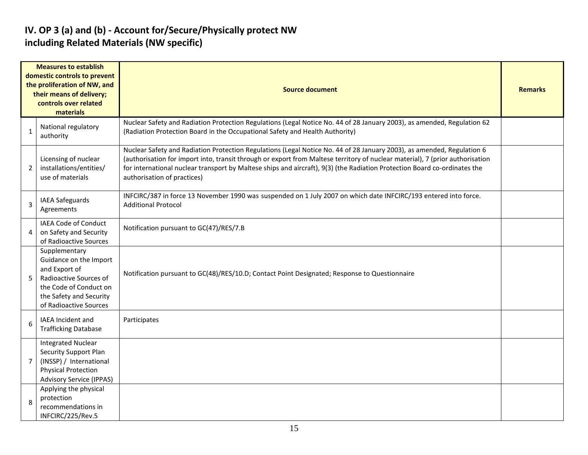#### **IV. OP 3 (a) and (b) - Account for/Secure/Physically protect NW including Related Materials (NW specific)**

| <b>Measures to establish</b><br>domestic controls to prevent<br>the proliferation of NW, and<br>their means of delivery;<br>controls over related<br>materials |                                                                                                                                                                   | <b>Source document</b>                                                                                                                                                                                                                                                                                                                                                                                              |  |  |  |  |  |  |  |
|----------------------------------------------------------------------------------------------------------------------------------------------------------------|-------------------------------------------------------------------------------------------------------------------------------------------------------------------|---------------------------------------------------------------------------------------------------------------------------------------------------------------------------------------------------------------------------------------------------------------------------------------------------------------------------------------------------------------------------------------------------------------------|--|--|--|--|--|--|--|
| $\mathbf{1}$                                                                                                                                                   | National regulatory<br>authority                                                                                                                                  | Nuclear Safety and Radiation Protection Regulations (Legal Notice No. 44 of 28 January 2003), as amended, Regulation 62<br>(Radiation Protection Board in the Occupational Safety and Health Authority)                                                                                                                                                                                                             |  |  |  |  |  |  |  |
| $\overline{2}$                                                                                                                                                 | Licensing of nuclear<br>installations/entities/<br>use of materials                                                                                               | Nuclear Safety and Radiation Protection Regulations (Legal Notice No. 44 of 28 January 2003), as amended, Regulation 6<br>(authorisation for import into, transit through or export from Maltese territory of nuclear material), 7 (prior authorisation<br>for international nuclear transport by Maltese ships and aircraft), 9(3) (the Radiation Protection Board co-ordinates the<br>authorisation of practices) |  |  |  |  |  |  |  |
| 3                                                                                                                                                              | IAEA Safeguards<br>Agreements                                                                                                                                     | INFCIRC/387 in force 13 November 1990 was suspended on 1 July 2007 on which date INFCIRC/193 entered into force.<br><b>Additional Protocol</b>                                                                                                                                                                                                                                                                      |  |  |  |  |  |  |  |
| 4                                                                                                                                                              | IAEA Code of Conduct<br>on Safety and Security<br>of Radioactive Sources                                                                                          | Notification pursuant to GC(47)/RES/7.B                                                                                                                                                                                                                                                                                                                                                                             |  |  |  |  |  |  |  |
| 5                                                                                                                                                              | Supplementary<br>Guidance on the Import<br>and Export of<br>Radioactive Sources of<br>the Code of Conduct on<br>the Safety and Security<br>of Radioactive Sources | Notification pursuant to GC(48)/RES/10.D; Contact Point Designated; Response to Questionnaire                                                                                                                                                                                                                                                                                                                       |  |  |  |  |  |  |  |
| 6                                                                                                                                                              | IAEA Incident and<br><b>Trafficking Database</b>                                                                                                                  | Participates                                                                                                                                                                                                                                                                                                                                                                                                        |  |  |  |  |  |  |  |
| $\overline{7}$                                                                                                                                                 | <b>Integrated Nuclear</b><br><b>Security Support Plan</b><br>(INSSP) / International<br><b>Physical Protection</b><br><b>Advisory Service (IPPAS)</b>             |                                                                                                                                                                                                                                                                                                                                                                                                                     |  |  |  |  |  |  |  |
| 8                                                                                                                                                              | Applying the physical<br>protection<br>recommendations in<br>INFCIRC/225/Rev.5                                                                                    |                                                                                                                                                                                                                                                                                                                                                                                                                     |  |  |  |  |  |  |  |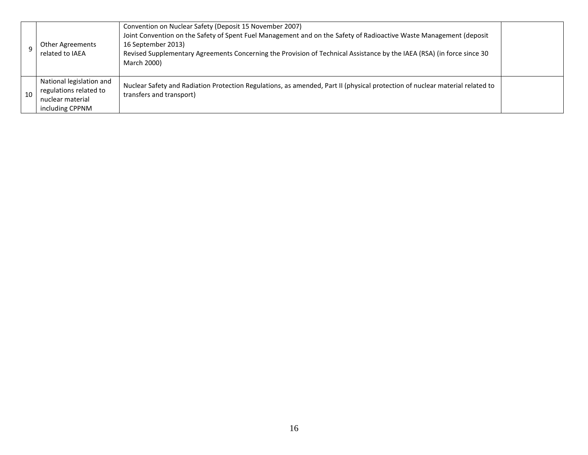|    | <b>Other Agreements</b><br>related to IAEA                                                | Convention on Nuclear Safety (Deposit 15 November 2007)<br>Joint Convention on the Safety of Spent Fuel Management and on the Safety of Radioactive Waste Management (deposit<br>16 September 2013)<br>Revised Supplementary Agreements Concerning the Provision of Technical Assistance by the IAEA (RSA) (in force since 30<br>March 2000) |  |
|----|-------------------------------------------------------------------------------------------|----------------------------------------------------------------------------------------------------------------------------------------------------------------------------------------------------------------------------------------------------------------------------------------------------------------------------------------------|--|
| 10 | National legislation and<br>regulations related to<br>nuclear material<br>including CPPNM | Nuclear Safety and Radiation Protection Regulations, as amended, Part II (physical protection of nuclear material related to<br>transfers and transport)                                                                                                                                                                                     |  |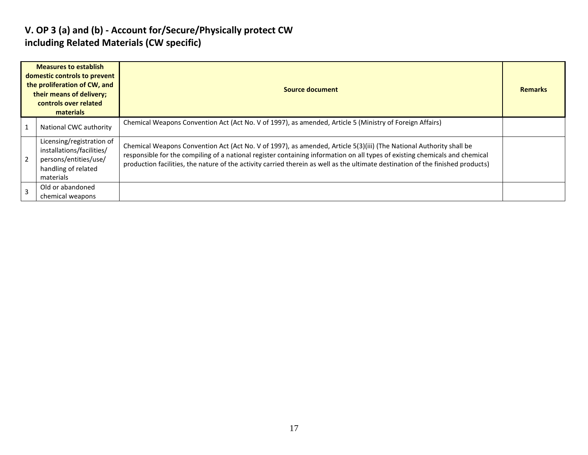#### **V. OP 3 (a) and (b) - Account for/Secure/Physically protect CW including Related Materials (CW specific)**

| <b>Measures to establish</b><br>domestic controls to prevent<br>the proliferation of CW, and<br>their means of delivery;<br>controls over related<br>materials |                                                                                                                     | Source document                                                                                                                                                                                                                                                                                                                                                                       | <b>Remarks</b> |
|----------------------------------------------------------------------------------------------------------------------------------------------------------------|---------------------------------------------------------------------------------------------------------------------|---------------------------------------------------------------------------------------------------------------------------------------------------------------------------------------------------------------------------------------------------------------------------------------------------------------------------------------------------------------------------------------|----------------|
|                                                                                                                                                                | National CWC authority                                                                                              | Chemical Weapons Convention Act (Act No. V of 1997), as amended, Article 5 (Ministry of Foreign Affairs)                                                                                                                                                                                                                                                                              |                |
|                                                                                                                                                                | Licensing/registration of<br>installations/facilities/<br>persons/entities/use/<br>handling of related<br>materials | Chemical Weapons Convention Act (Act No. V of 1997), as amended, Article 5(3)(iii) (The National Authority shall be<br>responsible for the compiling of a national register containing information on all types of existing chemicals and chemical<br>production facilities, the nature of the activity carried therein as well as the ultimate destination of the finished products) |                |
|                                                                                                                                                                | Old or abandoned<br>chemical weapons                                                                                |                                                                                                                                                                                                                                                                                                                                                                                       |                |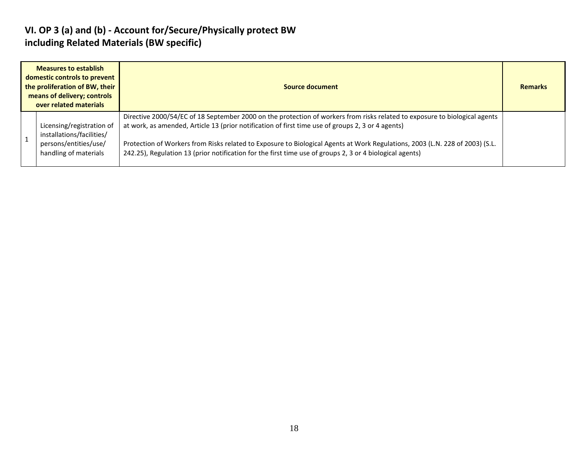#### **VI. OP 3 (a) and (b) - Account for/Secure/Physically protect BW including Related Materials (BW specific)**

| <b>Measures to establish</b><br>domestic controls to prevent<br>the proliferation of BW, their<br>means of delivery; controls<br>over related materials |                                                                                                          | Source document                                                                                                                                                                                                                                                                                                                                                                                                                                                             | <b>Remarks</b> |
|---------------------------------------------------------------------------------------------------------------------------------------------------------|----------------------------------------------------------------------------------------------------------|-----------------------------------------------------------------------------------------------------------------------------------------------------------------------------------------------------------------------------------------------------------------------------------------------------------------------------------------------------------------------------------------------------------------------------------------------------------------------------|----------------|
|                                                                                                                                                         | Licensing/registration of<br>installations/facilities/<br>persons/entities/use/<br>handling of materials | Directive 2000/54/EC of 18 September 2000 on the protection of workers from risks related to exposure to biological agents<br>at work, as amended, Article 13 (prior notification of first time use of groups 2, 3 or 4 agents)<br>Protection of Workers from Risks related to Exposure to Biological Agents at Work Regulations, 2003 (L.N. 228 of 2003) (S.L.<br>242.25), Regulation 13 (prior notification for the first time use of groups 2, 3 or 4 biological agents) |                |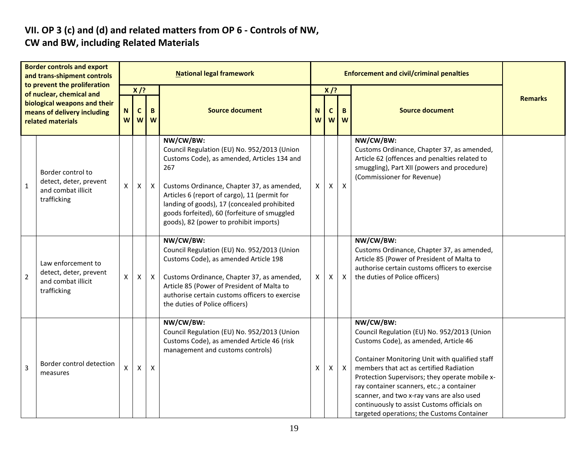#### **VII. OP 3 (c) and (d) and related matters from OP 6 - Controls of NW, CW and BW, including Related Materials**

| <b>Border controls and export</b><br>and trans-shipment controls<br>to prevent the proliferation |                                                                                   |        |                  |                           | <b>National legal framework</b>                                                                                                                                                                                                                                                                                                                       |              |        | <b>Enforcement and civil/criminal penalties</b> |                                                                                                                                                                                                                                                                                                                                                                                                                                         |                |
|--------------------------------------------------------------------------------------------------|-----------------------------------------------------------------------------------|--------|------------------|---------------------------|-------------------------------------------------------------------------------------------------------------------------------------------------------------------------------------------------------------------------------------------------------------------------------------------------------------------------------------------------------|--------------|--------|-------------------------------------------------|-----------------------------------------------------------------------------------------------------------------------------------------------------------------------------------------------------------------------------------------------------------------------------------------------------------------------------------------------------------------------------------------------------------------------------------------|----------------|
|                                                                                                  | of nuclear, chemical and<br>biological weapons and their                          |        | $X$ /?           |                           |                                                                                                                                                                                                                                                                                                                                                       |              | $X$ /? |                                                 |                                                                                                                                                                                                                                                                                                                                                                                                                                         | <b>Remarks</b> |
|                                                                                                  | means of delivery including<br>related materials                                  | N<br>W | $\mathbf c$<br>W | $\mathbf B$<br>W          | <b>Source document</b>                                                                                                                                                                                                                                                                                                                                | N<br>W       | C<br>W | B<br>$\boldsymbol{w}$                           | <b>Source document</b>                                                                                                                                                                                                                                                                                                                                                                                                                  |                |
| $\mathbf{1}$                                                                                     | Border control to<br>detect, deter, prevent<br>and combat illicit<br>trafficking  | X      | X                | $\boldsymbol{\mathsf{X}}$ | NW/CW/BW:<br>Council Regulation (EU) No. 952/2013 (Union<br>Customs Code), as amended, Articles 134 and<br>267<br>Customs Ordinance, Chapter 37, as amended,<br>Articles 6 (report of cargo), 11 (permit for<br>landing of goods), 17 (concealed prohibited<br>goods forfeited), 60 (forfeiture of smuggled<br>goods), 82 (power to prohibit imports) | X            | X.     | $\mathsf{X}$                                    | NW/CW/BW:<br>Customs Ordinance, Chapter 37, as amended,<br>Article 62 (offences and penalties related to<br>smuggling), Part XII (powers and procedure)<br>(Commissioner for Revenue)                                                                                                                                                                                                                                                   |                |
| $\overline{2}$                                                                                   | Law enforcement to<br>detect, deter, prevent<br>and combat illicit<br>trafficking | X      | X                | $\mathsf{X}$              | NW/CW/BW:<br>Council Regulation (EU) No. 952/2013 (Union<br>Customs Code), as amended Article 198<br>Customs Ordinance, Chapter 37, as amended,<br>Article 85 (Power of President of Malta to<br>authorise certain customs officers to exercise<br>the duties of Police officers)                                                                     | $\mathsf{X}$ | X.     | $\mathsf{X}$                                    | NW/CW/BW:<br>Customs Ordinance, Chapter 37, as amended,<br>Article 85 (Power of President of Malta to<br>authorise certain customs officers to exercise<br>the duties of Police officers)                                                                                                                                                                                                                                               |                |
| 3                                                                                                | Border control detection<br>measures                                              | x.     | X                | $\pmb{\mathsf{X}}$        | NW/CW/BW:<br>Council Regulation (EU) No. 952/2013 (Union<br>Customs Code), as amended Article 46 (risk<br>management and customs controls)                                                                                                                                                                                                            | X            | X.     | $\mathsf{X}$                                    | NW/CW/BW:<br>Council Regulation (EU) No. 952/2013 (Union<br>Customs Code), as amended, Article 46<br>Container Monitoring Unit with qualified staff<br>members that act as certified Radiation<br>Protection Supervisors; they operate mobile x-<br>ray container scanners, etc.; a container<br>scanner, and two x-ray vans are also used<br>continuously to assist Customs officials on<br>targeted operations; the Customs Container |                |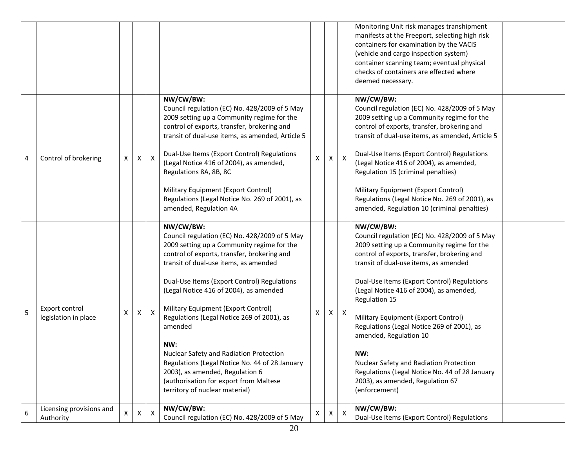|   |                                        |   |                |              |                                                                                                                                                                                                                                                                                                                                                                                                                                                                                                                                                                                                              |   |              |              | Monitoring Unit risk manages transhipment<br>manifests at the Freeport, selecting high risk<br>containers for examination by the VACIS<br>(vehicle and cargo inspection system)<br>container scanning team; eventual physical<br>checks of containers are effected where<br>deemed necessary.                                                                                                                                                                                                                                                                                       |  |
|---|----------------------------------------|---|----------------|--------------|--------------------------------------------------------------------------------------------------------------------------------------------------------------------------------------------------------------------------------------------------------------------------------------------------------------------------------------------------------------------------------------------------------------------------------------------------------------------------------------------------------------------------------------------------------------------------------------------------------------|---|--------------|--------------|-------------------------------------------------------------------------------------------------------------------------------------------------------------------------------------------------------------------------------------------------------------------------------------------------------------------------------------------------------------------------------------------------------------------------------------------------------------------------------------------------------------------------------------------------------------------------------------|--|
| 4 | Control of brokering                   | X | $\mathsf{X}$   | $\mathsf{X}$ | NW/CW/BW:<br>Council regulation (EC) No. 428/2009 of 5 May<br>2009 setting up a Community regime for the<br>control of exports, transfer, brokering and<br>transit of dual-use items, as amended, Article 5<br>Dual-Use Items (Export Control) Regulations<br>(Legal Notice 416 of 2004), as amended,<br>Regulations 8A, 8B, 8C<br>Military Equipment (Export Control)<br>Regulations (Legal Notice No. 269 of 2001), as<br>amended, Regulation 4A                                                                                                                                                           | X | $\mathsf{X}$ | $\mathsf{x}$ | NW/CW/BW:<br>Council regulation (EC) No. 428/2009 of 5 May<br>2009 setting up a Community regime for the<br>control of exports, transfer, brokering and<br>transit of dual-use items, as amended, Article 5<br>Dual-Use Items (Export Control) Regulations<br>(Legal Notice 416 of 2004), as amended,<br>Regulation 15 (criminal penalties)<br>Military Equipment (Export Control)<br>Regulations (Legal Notice No. 269 of 2001), as<br>amended, Regulation 10 (criminal penalties)                                                                                                 |  |
| 5 | Export control<br>legislation in place | X | $\mathsf{X}$   | $\mathsf{X}$ | NW/CW/BW:<br>Council regulation (EC) No. 428/2009 of 5 May<br>2009 setting up a Community regime for the<br>control of exports, transfer, brokering and<br>transit of dual-use items, as amended<br>Dual-Use Items (Export Control) Regulations<br>(Legal Notice 416 of 2004), as amended<br>Military Equipment (Export Control)<br>Regulations (Legal Notice 269 of 2001), as<br>amended<br>NW:<br>Nuclear Safety and Radiation Protection<br>Regulations (Legal Notice No. 44 of 28 January<br>2003), as amended, Regulation 6<br>(authorisation for export from Maltese<br>territory of nuclear material) | x | X I          | $\mathsf{X}$ | NW/CW/BW:<br>Council regulation (EC) No. 428/2009 of 5 May<br>2009 setting up a Community regime for the<br>control of exports, transfer, brokering and<br>transit of dual-use items, as amended<br>Dual-Use Items (Export Control) Regulations<br>(Legal Notice 416 of 2004), as amended,<br>Regulation 15<br>Military Equipment (Export Control)<br>Regulations (Legal Notice 269 of 2001), as<br>amended, Regulation 10<br>NW:<br>Nuclear Safety and Radiation Protection<br>Regulations (Legal Notice No. 44 of 28 January<br>2003), as amended, Regulation 67<br>(enforcement) |  |
| 6 | Licensing provisions and<br>Authority  | X | $\pmb{\times}$ | $\mathsf{X}$ | NW/CW/BW:<br>Council regulation (EC) No. 428/2009 of 5 May                                                                                                                                                                                                                                                                                                                                                                                                                                                                                                                                                   | X | X            | X            | NW/CW/BW:<br>Dual-Use Items (Export Control) Regulations                                                                                                                                                                                                                                                                                                                                                                                                                                                                                                                            |  |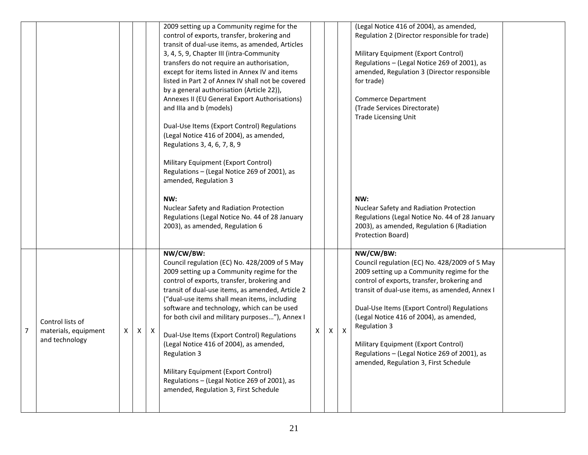|                |                                                            |   |              |              | 2009 setting up a Community regime for the<br>control of exports, transfer, brokering and<br>transit of dual-use items, as amended, Articles<br>3, 4, 5, 9, Chapter III (intra-Community<br>transfers do not require an authorisation,<br>except for items listed in Annex IV and items<br>listed in Part 2 of Annex IV shall not be covered<br>by a general authorisation (Article 22)),<br>Annexes II (EU General Export Authorisations)<br>and IIIa and b (models)<br>Dual-Use Items (Export Control) Regulations<br>(Legal Notice 416 of 2004), as amended,<br>Regulations 3, 4, 6, 7, 8, 9<br>Military Equipment (Export Control)<br>Regulations - (Legal Notice 269 of 2001), as<br>amended, Regulation 3<br>NW:<br>Nuclear Safety and Radiation Protection<br>Regulations (Legal Notice No. 44 of 28 January<br>2003), as amended, Regulation 6 |   |          |              | (Legal Notice 416 of 2004), as amended,<br>Regulation 2 (Director responsible for trade)<br>Military Equipment (Export Control)<br>Regulations - (Legal Notice 269 of 2001), as<br>amended, Regulation 3 (Director responsible<br>for trade)<br><b>Commerce Department</b><br>(Trade Services Directorate)<br><b>Trade Licensing Unit</b><br>NW:<br>Nuclear Safety and Radiation Protection<br>Regulations (Legal Notice No. 44 of 28 January<br>2003), as amended, Regulation 6 (Radiation<br>Protection Board) |  |
|----------------|------------------------------------------------------------|---|--------------|--------------|--------------------------------------------------------------------------------------------------------------------------------------------------------------------------------------------------------------------------------------------------------------------------------------------------------------------------------------------------------------------------------------------------------------------------------------------------------------------------------------------------------------------------------------------------------------------------------------------------------------------------------------------------------------------------------------------------------------------------------------------------------------------------------------------------------------------------------------------------------|---|----------|--------------|------------------------------------------------------------------------------------------------------------------------------------------------------------------------------------------------------------------------------------------------------------------------------------------------------------------------------------------------------------------------------------------------------------------------------------------------------------------------------------------------------------------|--|
| $\overline{7}$ | Control lists of<br>materials, equipment<br>and technology | X | $\mathsf{X}$ | $\mathsf{X}$ | NW/CW/BW:<br>Council regulation (EC) No. 428/2009 of 5 May<br>2009 setting up a Community regime for the<br>control of exports, transfer, brokering and<br>transit of dual-use items, as amended, Article 2<br>("dual-use items shall mean items, including<br>software and technology, which can be used<br>for both civil and military purposes"), Annex I<br>Dual-Use Items (Export Control) Regulations<br>(Legal Notice 416 of 2004), as amended,<br>Regulation 3<br>Military Equipment (Export Control)<br>Regulations - (Legal Notice 269 of 2001), as<br>amended, Regulation 3, First Schedule                                                                                                                                                                                                                                                 | X | $\times$ | $\mathsf{X}$ | NW/CW/BW:<br>Council regulation (EC) No. 428/2009 of 5 May<br>2009 setting up a Community regime for the<br>control of exports, transfer, brokering and<br>transit of dual-use items, as amended, Annex I<br>Dual-Use Items (Export Control) Regulations<br>(Legal Notice 416 of 2004), as amended,<br>Regulation 3<br>Military Equipment (Export Control)<br>Regulations - (Legal Notice 269 of 2001), as<br>amended, Regulation 3, First Schedule                                                              |  |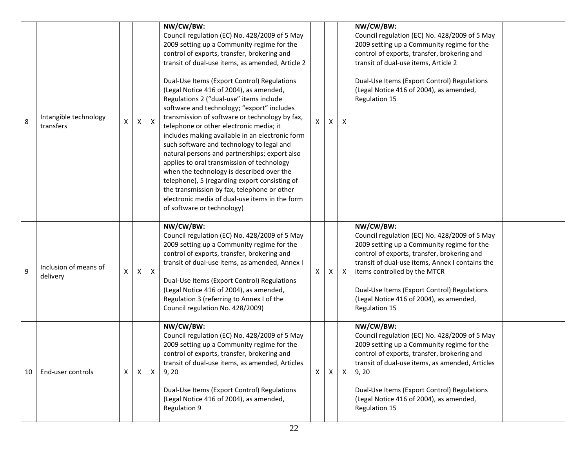| 8  | Intangible technology<br>transfers | X            | $\times$                  | $\mathsf{X}$ | NW/CW/BW:<br>Council regulation (EC) No. 428/2009 of 5 May<br>2009 setting up a Community regime for the<br>control of exports, transfer, brokering and<br>transit of dual-use items, as amended, Article 2<br>Dual-Use Items (Export Control) Regulations<br>(Legal Notice 416 of 2004), as amended,<br>Regulations 2 ("dual-use" items include<br>software and technology; "export" includes<br>transmission of software or technology by fax,<br>telephone or other electronic media; it<br>includes making available in an electronic form<br>such software and technology to legal and<br>natural persons and partnerships; export also<br>applies to oral transmission of technology<br>when the technology is described over the<br>telephone), 5 (regarding export consisting of<br>the transmission by fax, telephone or other<br>electronic media of dual-use items in the form<br>of software or technology) | x | $\mathsf{X}$ | $\boldsymbol{\mathsf{X}}$ | NW/CW/BW:<br>Council regulation (EC) No. 428/2009 of 5 May<br>2009 setting up a Community regime for the<br>control of exports, transfer, brokering and<br>transit of dual-use items, Article 2<br>Dual-Use Items (Export Control) Regulations<br>(Legal Notice 416 of 2004), as amended,<br>Regulation 15                                            |  |
|----|------------------------------------|--------------|---------------------------|--------------|-------------------------------------------------------------------------------------------------------------------------------------------------------------------------------------------------------------------------------------------------------------------------------------------------------------------------------------------------------------------------------------------------------------------------------------------------------------------------------------------------------------------------------------------------------------------------------------------------------------------------------------------------------------------------------------------------------------------------------------------------------------------------------------------------------------------------------------------------------------------------------------------------------------------------|---|--------------|---------------------------|-------------------------------------------------------------------------------------------------------------------------------------------------------------------------------------------------------------------------------------------------------------------------------------------------------------------------------------------------------|--|
| 9  | Inclusion of means of<br>delivery  | X            | $\boldsymbol{\mathsf{X}}$ | $\mathsf{X}$ | NW/CW/BW:<br>Council regulation (EC) No. 428/2009 of 5 May<br>2009 setting up a Community regime for the<br>control of exports, transfer, brokering and<br>transit of dual-use items, as amended, Annex I<br>Dual-Use Items (Export Control) Regulations<br>(Legal Notice 416 of 2004), as amended,<br>Regulation 3 (referring to Annex I of the<br>Council regulation No. 428/2009)                                                                                                                                                                                                                                                                                                                                                                                                                                                                                                                                    | x | X.           | $\mathsf{X}$              | NW/CW/BW:<br>Council regulation (EC) No. 428/2009 of 5 May<br>2009 setting up a Community regime for the<br>control of exports, transfer, brokering and<br>transit of dual-use items, Annex I contains the<br>items controlled by the MTCR<br>Dual-Use Items (Export Control) Regulations<br>(Legal Notice 416 of 2004), as amended,<br>Regulation 15 |  |
| 10 | End-user controls                  | $\mathsf{X}$ | X I                       | $\mathsf{X}$ | NW/CW/BW:<br>Council regulation (EC) No. 428/2009 of 5 May<br>2009 setting up a Community regime for the<br>control of exports, transfer, brokering and<br>transit of dual-use items, as amended, Articles<br>9,20<br>Dual-Use Items (Export Control) Regulations<br>(Legal Notice 416 of 2004), as amended,<br>Regulation 9                                                                                                                                                                                                                                                                                                                                                                                                                                                                                                                                                                                            | X | X            | $\mathsf{x}$              | NW/CW/BW:<br>Council regulation (EC) No. 428/2009 of 5 May<br>2009 setting up a Community regime for the<br>control of exports, transfer, brokering and<br>transit of dual-use items, as amended, Articles<br>9, 20<br>Dual-Use Items (Export Control) Regulations<br>(Legal Notice 416 of 2004), as amended,<br>Regulation 15                        |  |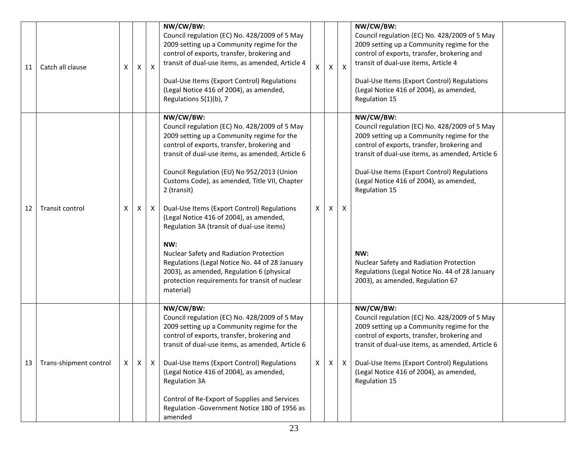| 11 | Catch all clause       | X              | X | X | NW/CW/BW:<br>Council regulation (EC) No. 428/2009 of 5 May<br>2009 setting up a Community regime for the<br>control of exports, transfer, brokering and<br>transit of dual-use items, as amended, Article 4<br>Dual-Use Items (Export Control) Regulations<br>(Legal Notice 416 of 2004), as amended,<br>Regulations 5(1)(b), 7                                                                                                                                                                                                                                                                                                                                                  | X            | X            | X | NW/CW/BW:<br>Council regulation (EC) No. 428/2009 of 5 May<br>2009 setting up a Community regime for the<br>control of exports, transfer, brokering and<br>transit of dual-use items, Article 4<br>Dual-Use Items (Export Control) Regulations<br>(Legal Notice 416 of 2004), as amended,<br>Regulation 15                                                                                                                                                     |  |
|----|------------------------|----------------|---|---|----------------------------------------------------------------------------------------------------------------------------------------------------------------------------------------------------------------------------------------------------------------------------------------------------------------------------------------------------------------------------------------------------------------------------------------------------------------------------------------------------------------------------------------------------------------------------------------------------------------------------------------------------------------------------------|--------------|--------------|---|----------------------------------------------------------------------------------------------------------------------------------------------------------------------------------------------------------------------------------------------------------------------------------------------------------------------------------------------------------------------------------------------------------------------------------------------------------------|--|
| 12 | Transit control        | X              | Χ | X | NW/CW/BW:<br>Council regulation (EC) No. 428/2009 of 5 May<br>2009 setting up a Community regime for the<br>control of exports, transfer, brokering and<br>transit of dual-use items, as amended, Article 6<br>Council Regulation (EU) No 952/2013 (Union<br>Customs Code), as amended, Title VII, Chapter<br>2 (transit)<br>Dual-Use Items (Export Control) Regulations<br>(Legal Notice 416 of 2004), as amended,<br>Regulation 3A (transit of dual-use items)<br>NW:<br>Nuclear Safety and Radiation Protection<br>Regulations (Legal Notice No. 44 of 28 January<br>2003), as amended, Regulation 6 (physical<br>protection requirements for transit of nuclear<br>material) | $\mathsf{X}$ | $\mathsf{X}$ | X | NW/CW/BW:<br>Council regulation (EC) No. 428/2009 of 5 May<br>2009 setting up a Community regime for the<br>control of exports, transfer, brokering and<br>transit of dual-use items, as amended, Article 6<br>Dual-Use Items (Export Control) Regulations<br>(Legal Notice 416 of 2004), as amended,<br>Regulation 15<br>NW:<br>Nuclear Safety and Radiation Protection<br>Regulations (Legal Notice No. 44 of 28 January<br>2003), as amended, Regulation 67 |  |
| 13 | Trans-shipment control | $\mathsf{X}^-$ | Χ | X | NW/CW/BW:<br>Council regulation (EC) No. 428/2009 of 5 May<br>2009 setting up a Community regime for the<br>control of exports, transfer, brokering and<br>transit of dual-use items, as amended, Article 6<br>Dual-Use Items (Export Control) Regulations<br>(Legal Notice 416 of 2004), as amended,<br><b>Regulation 3A</b><br>Control of Re-Export of Supplies and Services<br>Regulation - Government Notice 180 of 1956 as<br>amended                                                                                                                                                                                                                                       | $\mathsf{X}$ | $\mathsf{X}$ | X | NW/CW/BW:<br>Council regulation (EC) No. 428/2009 of 5 May<br>2009 setting up a Community regime for the<br>control of exports, transfer, brokering and<br>transit of dual-use items, as amended, Article 6<br>Dual-Use Items (Export Control) Regulations<br>(Legal Notice 416 of 2004), as amended,<br>Regulation 15                                                                                                                                         |  |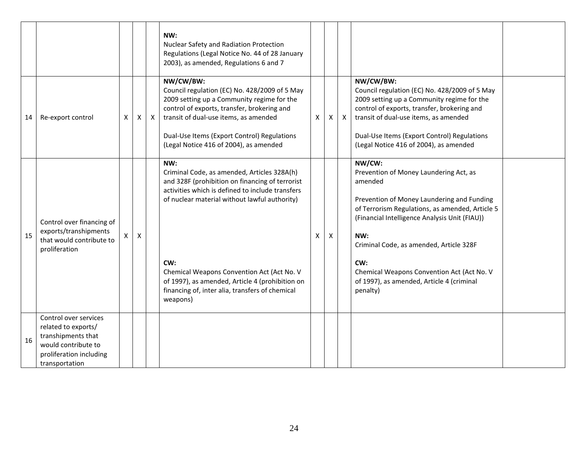|    |                                                                                                                                        |   |                           |              | NW:<br>Nuclear Safety and Radiation Protection<br>Regulations (Legal Notice No. 44 of 28 January<br>2003), as amended, Regulations 6 and 7                                                                                                                                                                                                                                        |   |   |              |                                                                                                                                                                                                                                                                                                                                                                               |  |
|----|----------------------------------------------------------------------------------------------------------------------------------------|---|---------------------------|--------------|-----------------------------------------------------------------------------------------------------------------------------------------------------------------------------------------------------------------------------------------------------------------------------------------------------------------------------------------------------------------------------------|---|---|--------------|-------------------------------------------------------------------------------------------------------------------------------------------------------------------------------------------------------------------------------------------------------------------------------------------------------------------------------------------------------------------------------|--|
| 14 | Re-export control                                                                                                                      | X | X                         | $\mathsf{X}$ | NW/CW/BW:<br>Council regulation (EC) No. 428/2009 of 5 May<br>2009 setting up a Community regime for the<br>control of exports, transfer, brokering and<br>transit of dual-use items, as amended<br>Dual-Use Items (Export Control) Regulations<br>(Legal Notice 416 of 2004), as amended                                                                                         | X | X | $\mathsf{X}$ | NW/CW/BW:<br>Council regulation (EC) No. 428/2009 of 5 May<br>2009 setting up a Community regime for the<br>control of exports, transfer, brokering and<br>transit of dual-use items, as amended<br>Dual-Use Items (Export Control) Regulations<br>(Legal Notice 416 of 2004), as amended                                                                                     |  |
| 15 | Control over financing of<br>exports/transhipments<br>that would contribute to<br>proliferation                                        | X | $\boldsymbol{\mathsf{X}}$ |              | NW:<br>Criminal Code, as amended, Articles 328A(h)<br>and 328F (prohibition on financing of terrorist<br>activities which is defined to include transfers<br>of nuclear material without lawful authority)<br>CW:<br>Chemical Weapons Convention Act (Act No. V<br>of 1997), as amended, Article 4 (prohibition on<br>financing of, inter alia, transfers of chemical<br>weapons) | x | х |              | NW/CW:<br>Prevention of Money Laundering Act, as<br>amended<br>Prevention of Money Laundering and Funding<br>of Terrorism Regulations, as amended, Article 5<br>(Financial Intelligence Analysis Unit (FIAU))<br>NW:<br>Criminal Code, as amended, Article 328F<br>CW:<br>Chemical Weapons Convention Act (Act No. V<br>of 1997), as amended, Article 4 (criminal<br>penalty) |  |
| 16 | Control over services<br>related to exports/<br>transhipments that<br>would contribute to<br>proliferation including<br>transportation |   |                           |              |                                                                                                                                                                                                                                                                                                                                                                                   |   |   |              |                                                                                                                                                                                                                                                                                                                                                                               |  |